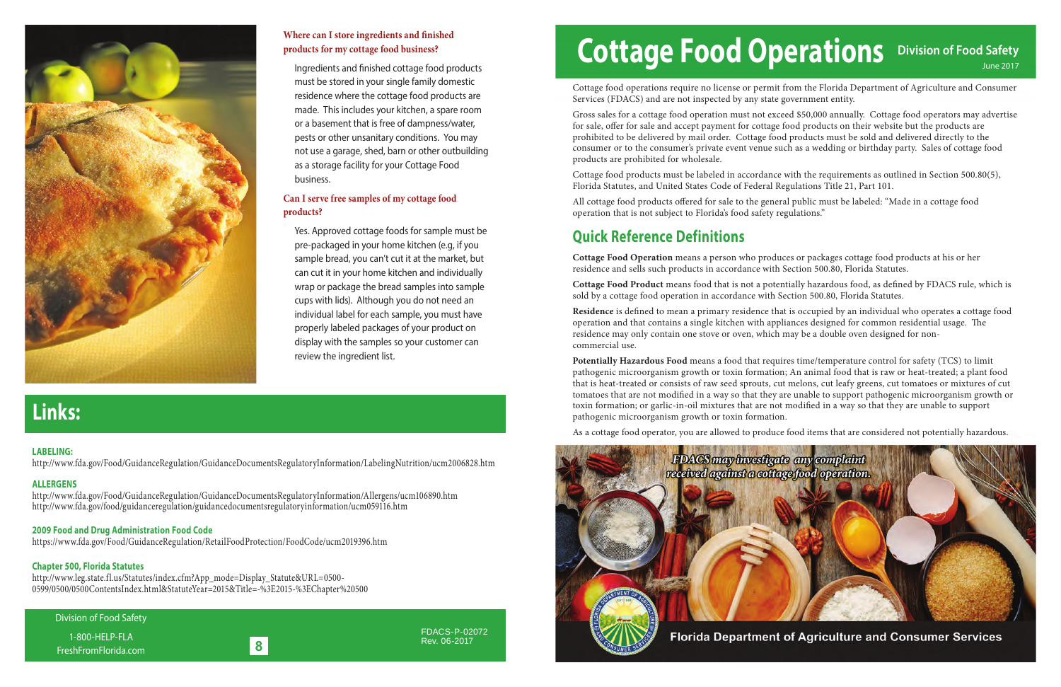## **Links:**

### 8

Division of Food Safety

1-800-HELP-FLA FreshFromFlorida.com FDACS-P-02072 Rev. 06-2017

# Cottage Food Operations Division of Food Safety

Cottage food operations require no license or permit from the Florida Department of Agriculture and Consumer Services (FDACS) and are not inspected by any state government entity.

Gross sales for a cottage food operation must not exceed \$50,000 annually. Cottage food operators may advertise for sale, offer for sale and accept payment for cottage food products on their website but the products are prohibited to be delivered by mail order. Cottage food products must be sold and delivered directly to the consumer or to the consumer's private event venue such as a wedding or birthday party. Sales of cottage food products are prohibited for wholesale.

All cottage food products offered for sale to the general public must be labeled: "Made in a cottage food operation that is not subject to Florida's food safety regulations."

Cottage Food Product means food that is not a potentially hazardous food, as defined by FDACS rule, which is sold by a cottage food operation in accordance with Section 500.80, Florida Statutes.

Cottage food products must be labeled in accordance with the requirements as outlined in Section 500.80(5), Florida Statutes, and United States Code of Federal Regulations Title 21, Part 101.

**Residence** is defined to mean a primary residence that is occupied by an individual who operates a cottage food operation and that contains a single kitchen with appliances designed for common residential usage. The residence may only contain one stove or oven, which may be a double oven designed for noncommercial use.

### **Quick Reference Definitions**

**Cottage Food Operation** means a person who produces or packages cottage food products at his or her residence and sells such products in accordance with Section 500.80, Florida Statutes.



#### **Where can I store ingredients and finished products for my cottage food business?**

Ingredients and finished cottage food products must be stored in your single family domestic residence where the cottage food products are made. This includes your kitchen, a spare room or a basement that is free of dampness/water, pests or other unsanitary conditions. You may not use a garage, shed, barn or other outbuilding as a storage facility for your Cottage Food business.

> **Potentially Hazardous Food** means a food that requires time/temperature control for safety (TCS) to limit pathogenic microorganism growth or toxin formation; An animal food that is raw or heat-treated; a plant food that is heat-treated or consists of raw seed sprouts, cut melons, cut leafy greens, cut tomatoes or mixtures of cut tomatoes that are not modified in a way so that they are unable to support pathogenic microorganism growth or toxin formation; or garlic-in-oil mixtures that are not modified in a way so that they are unable to support pathogenic microorganism growth or toxin formation.

As a cottage food operator, you are allowed to produce food items that are considered not potentially hazardous.



#### **Can I serve free samples of my cottage food products?**

 Yes. Approved cottage foods for sample must be pre-packaged in your home kitchen (e.g, if you sample bread, you can't cut it at the market, but can cut it in your home kitchen and individually wrap or package the bread samples into sample cups with lids). Although you do not need an individual label for each sample, you must have properly labeled packages of your product on display with the samples so your customer can review the ingredient list.

#### **LABELING:**

http://www.fda.gov/Food/GuidanceRegulation/GuidanceDocumentsRegulatoryInformation/LabelingNutrition/ucm2006828.htm

#### **ALLERGENS**

http://www.fda.gov/Food/GuidanceRegulation/GuidanceDocumentsRegulatoryInformation/Allergens/ucm106890.htm http://www.fda.gov/food/guidanceregulation/guidancedocumentsregulatoryinformation/ucm059116.htm

#### **2009 Food and Drug Administration Food Code**

https://www.fda.gov/Food/GuidanceRegulation/RetailFoodProtection/FoodCode/ucm2019396.htm

#### **Chapter 500, Florida Statutes**

http://www.leg.state.fl.us/Statutes/index.cfm?App\_mode=Display\_Statute&URL=0500- 0599/0500/0500ContentsIndex.html&StatuteYear=2015&Title=-%3E2015-%3EChapter%20500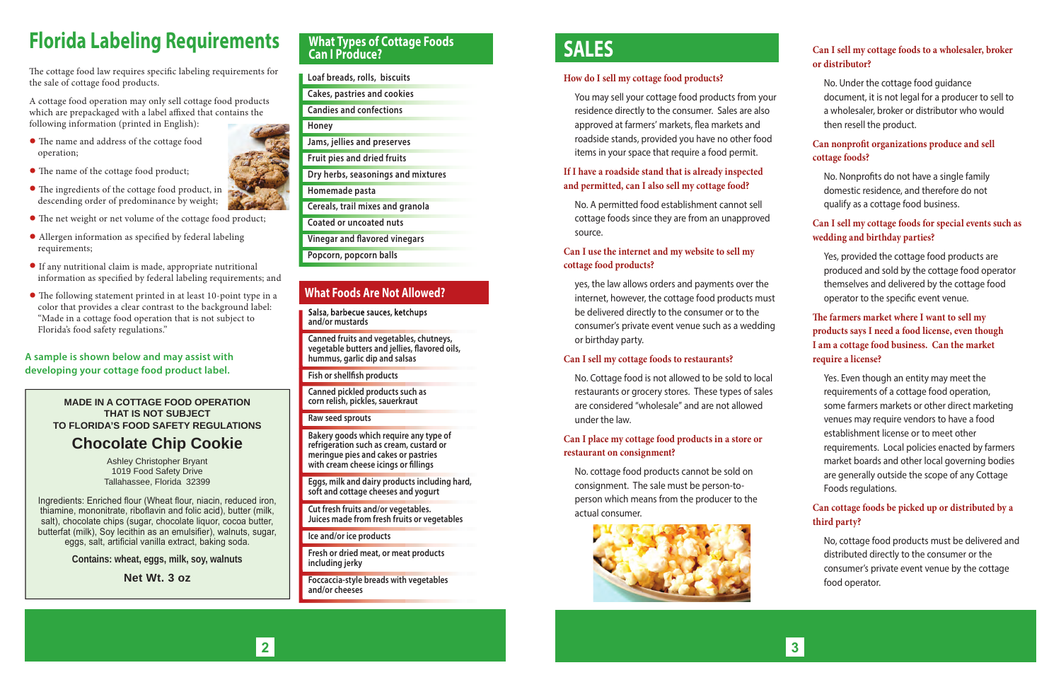### **What Types of Cottage Foods Can I Produce?**

**Loaf breads, rolls, biscuits**

**Cakes, pastries and cookies**

**Candies and confections**

**Honey** 

**Jams, jellies and preserves**

**Fruit pies and dried fruits** 

**Dry herbs, seasonings and mixtures**

**Homemade pasta**

**Cereals, trail mixes and granola**

**Coated or uncoated nuts**

**Vinegar and flavored vinegars** 

**Bakery goods which require any type of refrigeration such as cream, custard or meringue pies and cakes or pastries**  with cream cheese icings or fillings

**Popcorn, popcorn balls**

**Salsa, barbecue sauces, ketchups and/or mustards**

**Canned fruits and vegetables, chutneys,**  vegetable butters and jellies, flavored oils, **hummus, garlic dip and salsas**

**Fish or shellfish products** 

**Canned pickled products such as corn relish, pickles, sauerkraut**

The cottage food law requires specific labeling requirements for the sale of cottage food products.

**Raw seed sprouts**

**Eggs, milk and dairy products including hard, soft and cottage cheeses and yogurt**

**Cut fresh fruits and/or vegetables. Juices made from fresh fruits or vegetables**

**Ice and/or ice products**

**Fresh or dried meat, or meat products including jerky**

- $\bullet$  The name and address of the cottage food operation;
- The name of the cottage food product;
- $\bullet$  The ingredients of the cottage food product, in descending order of predominance by weight;
- The net weight or net volume of the cottage food product;
- $\bullet$  Allergen information as specified by federal labeling requirements;
- If any nutritional claim is made, appropriate nutritional information as specified by federal labeling requirements; and
- The following statement printed in at least 10-point type in a color that provides a clear contrast to the background label: "Made in a cottage food operation that is not subject to Florida's food safety regulations."

**Foccaccia-style breads with vegetables and/or cheeses**

### **What Foods Are Not Allowed?**

## **Florida Labeling Requirements**

A cottage food operation may only sell cottage food products which are prepackaged with a label affixed that contains the following information (printed in English):

#### **Can nonprofit organizations produce and sell cottage foods?**

No. Nonprofits do not have a single family domestic residence, and therefore do not qualify as a cottage food business.

 Yes, provided the cottage food products are produced and sold by the cottage food operator themselves and delivered by the cottage food operator to the specific event venue.

#### **A sample is shown below and may assist with developing your cottage food product label.**

#### The farmers market where I want to sell my **products says I need a food license, even though I am a cottage food business. Can the market require a license?**

### **SALES**

#### **How do I sell my cottage food products?**

 You may sell your cottage food products from your residence directly to the consumer. Sales are also approved at farmers' markets, flea markets and roadside stands, provided you have no other food items in your space that require a food permit.

#### **If I have a roadside stand that is already inspected and permitted, can I also sell my cottage food?**

 No. A permitted food establishment cannot sell cottage foods since they are from an unapproved source.

#### **Can I use the internet and my website to sell my cottage food products?**

 yes, the law allows orders and payments over the internet, however, the cottage food products must be delivered directly to the consumer or to the consumer's private event venue such as a wedding or birthday party.

#### **Can I sell my cottage foods to restaurants?**

 No. Cottage food is not allowed to be sold to local restaurants or grocery stores. These types of sales are considered "wholesale" and are not allowed under the law.

#### **Can I place my cottage food products in a store or restaurant on consignment?**

 No. cottage food products cannot be sold on consignment. The sale must be person-to person which means from the producer to the actual consumer.





#### **Can I sell my cottage foods to a wholesaler, broker or distributor?**

 No. Under the cottage food guidance document, it is not legal for a producer to sell to a wholesaler, broker or distributor who would then resell the product.

#### **Can I sell my cottage foods for special events such as wedding and birthday parties?**

 Yes. Even though an entity may meet the requirements of a cottage food operation, some farmers markets or other direct marketing venues may require vendors to have a food establishment license or to meet other requirements. Local policies enacted by farmers market boards and other local governing bodies are generally outside the scope of any Cottage Foods regulations.

#### **Can cottage foods be picked up or distributed by a third party?**

 No, cottage food products must be delivered and distributed directly to the consumer or the consumer's private event venue by the cottage food operator.

**MADE IN A COTTAGE FOOD OPERATION THAT IS NOT SUBJECT TO FLORIDA'S FOOD SAFETY REGULATIONS**

### **Chocolate Chip Cookie**

Ashley Christopher Bryant 1019 Food Safety Drive Tallahassee, Florida 32399

Ingredients: Enriched flour (Wheat flour, niacin, reduced iron, thiamine, mononitrate, riboflavin and folic acid), butter (milk, salt), chocolate chips (sugar, chocolate liquor, cocoa butter, butterfat (milk), Soy lecithin as an emulsifier), walnuts, sugar, eggs, salt, artificial vanilla extract, baking soda.

**Contains: wheat, eggs, milk, soy, walnuts**

**Net Wt. 3 oz**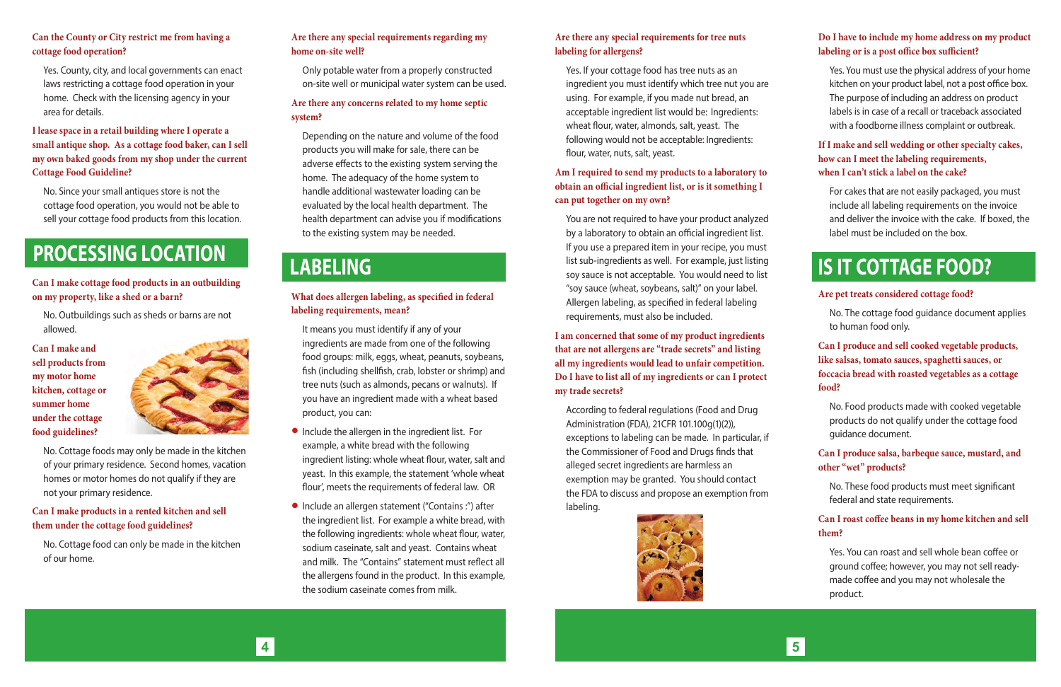### **LABELING**

#### **Can the County or City restrict me from having a cottage food operation?**

Yes. County, city, and local governments can enact laws restricting a cottage food operation in your home. Check with the licensing agency in your area for details.

#### **I lease space in a retail building where I operate a small antique shop. As a cottage food baker, can I sell my own baked goods from my shop under the current Cottage Food Guideline?**

No. Since your small antiques store is not the cottage food operation, you would not be able to sell your cottage food products from this location.

**Can I make cottage food products in an outbuilding on my property, like a shed or a barn?** 

No. Outbuildings such as sheds or barns are not allowed.

**Can I make and sell products from my motor home kitchen, cottage or summer home under the cottage food guidelines?** 



You are not required to have your product analyzed by a laboratory to obtain an official ingredient list. If you use a prepared item in your recipe, you must list sub-ingredients as well. For example, just listing soy sauce is not acceptable. You would need to list "soy sauce (wheat, soybeans, salt)" on your label. Allergen labeling, as specified in federal labeling requirements, must also be included. **If you use a prepared item in your recipe**, you must<br>list sub-ingredients as well. For example, just listing<br>sov sauce is not acceptable. You would need to list

No. Cottage foods may only be made in the kitchen of your primary residence. Second homes, vacation homes or motor homes do not qualify if they are not your primary residence.

#### **Can I make products in a rented kitchen and sell them under the cottage food guidelines?**

No. Cottage food can only be made in the kitchen of our home.

#### **Are there any special requirements for tree nuts labeling for allergens?**

Yes. If your cottage food has tree nuts as an ingredient you must identify which tree nut you are using. For example, if you made nut bread, an acceptable ingredient list would be: Ingredients: wheat flour, water, almonds, salt, yeast. The following would not be acceptable: Ingredients: flour, water, nuts, salt, yeast.

**Am I required to send my products to a laboratory to obtain an official ingredient list, or is it something I can put together on my own?** 

**I am concerned that some of my product ingredients that are not allergens are "trade secrets" and listing all my ingredients would lead to unfair competition. Do I have to list all of my ingredients or can I protect my trade secrets?** 

According to federal regulations (Food and Drug Administration (FDA), 21CFR 101.100g(1)(2)), exceptions to labeling can be made. In particular, if the Commissioner of Food and Drugs finds that alleged secret ingredients are harmless an exemption may be granted. You should contact the FDA to discuss and propose an exemption from labeling.



4 5

#### **Are there any special requirements regarding my home on-site well?**

Only potable water from a properly constructed on-site well or municipal water system can be used.

#### **Are there any concerns related to my home septic system?**

Depending on the nature and volume of the food products you will make for sale, there can be adverse effects to the existing system serving the home. The adequacy of the home system to handle additional wastewater loading can be evaluated by the local health department. The health department can advise you if modifications to the existing system may be needed.

#### **What does allergen labeling, as specified in federal labeling requirements, mean?**

It means you must identify if any of your ingredients are made from one of the following food groups: milk, eggs, wheat, peanuts, soybeans, fish (including shellfish, crab, lobster or shrimp) and tree nuts (such as almonds, pecans or walnuts). If you have an ingredient made with a wheat based product, you can:

- Include the allergen in the ingredient list. For example, a white bread with the following ingredient listing: whole wheat flour, water, salt and yeast. In this example, the statement 'whole wheat flour', meets the requirements of federal law. OR
- Include an allergen statement ("Contains :") after the ingredient list. For example a white bread, with the following ingredients: whole wheat flour, water, sodium caseinate, salt and yeast. Contains wheat and milk. The "Contains" statement must reflect all the allergens found in the product. In this example, the sodium caseinate comes from milk.

#### **Do I have to include my home address on my product labeling or is a post office box sufficient?**

Yes. You must use the physical address of your home kitchen on your product label, not a post office box. The purpose of including an address on product labels is in case of a recall or traceback associated with a foodborne illness complaint or outbreak.

#### **If I make and sell wedding or other specialty cakes, how can I meet the labeling requirements, when I can't stick a label on the cake?**

For cakes that are not easily packaged, you must include all labeling requirements on the invoice and deliver the invoice with the cake. If boxed, the label must be included on the box.

#### **Are pet treats considered cottage food?**

No. The cottage food guidance document applies to human food only.

#### **Can I produce and sell cooked vegetable products, like salsas, tomato sauces, spaghetti sauces, or foccacia bread with roasted vegetables as a cottage food?**

No. Food products made with cooked vegetable products do not qualify under the cottage food guidance document.

#### **Can I produce salsa, barbeque sauce, mustard, and other "wet" products?**

No. These food products must meet significant federal and state requirements.

#### **Can I roast coffee beans in my home kitchen and sell them?**

Yes. You can roast and sell whole bean coffee or ground coffee; however, you may not sell readymade coffee and you may not wholesale the product.